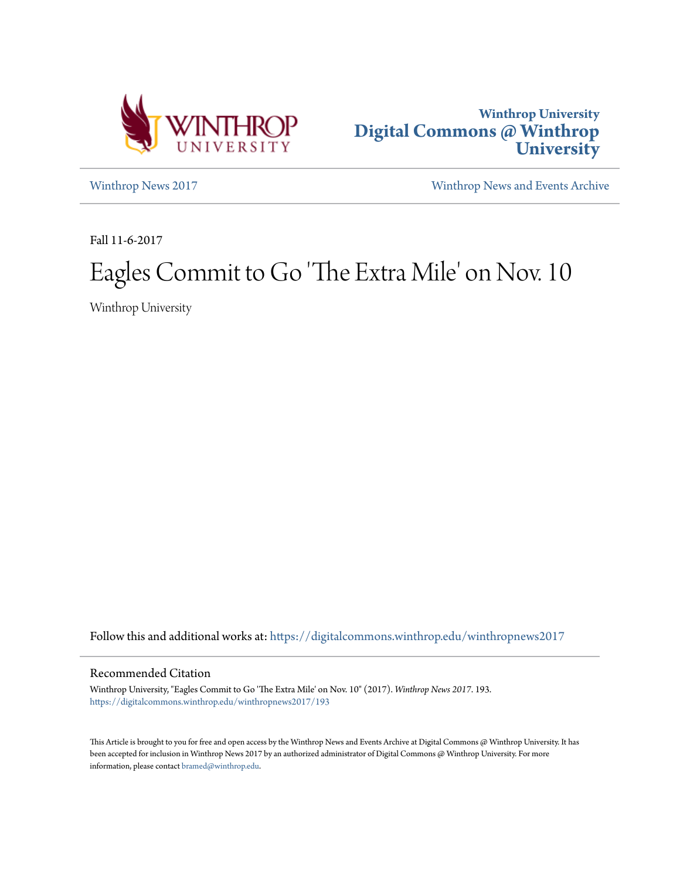



[Winthrop News 2017](https://digitalcommons.winthrop.edu/winthropnews2017?utm_source=digitalcommons.winthrop.edu%2Fwinthropnews2017%2F193&utm_medium=PDF&utm_campaign=PDFCoverPages) [Winthrop News and Events Archive](https://digitalcommons.winthrop.edu/winthropnewsarchives?utm_source=digitalcommons.winthrop.edu%2Fwinthropnews2017%2F193&utm_medium=PDF&utm_campaign=PDFCoverPages)

Fall 11-6-2017

## Eagles Commit to Go 'The Extra Mile' on Nov. 10

Winthrop University

Follow this and additional works at: [https://digitalcommons.winthrop.edu/winthropnews2017](https://digitalcommons.winthrop.edu/winthropnews2017?utm_source=digitalcommons.winthrop.edu%2Fwinthropnews2017%2F193&utm_medium=PDF&utm_campaign=PDFCoverPages)

## Recommended Citation

Winthrop University, "Eagles Commit to Go 'The Extra Mile' on Nov. 10" (2017). *Winthrop News 2017*. 193. [https://digitalcommons.winthrop.edu/winthropnews2017/193](https://digitalcommons.winthrop.edu/winthropnews2017/193?utm_source=digitalcommons.winthrop.edu%2Fwinthropnews2017%2F193&utm_medium=PDF&utm_campaign=PDFCoverPages)

This Article is brought to you for free and open access by the Winthrop News and Events Archive at Digital Commons @ Winthrop University. It has been accepted for inclusion in Winthrop News 2017 by an authorized administrator of Digital Commons @ Winthrop University. For more information, please contact [bramed@winthrop.edu](mailto:bramed@winthrop.edu).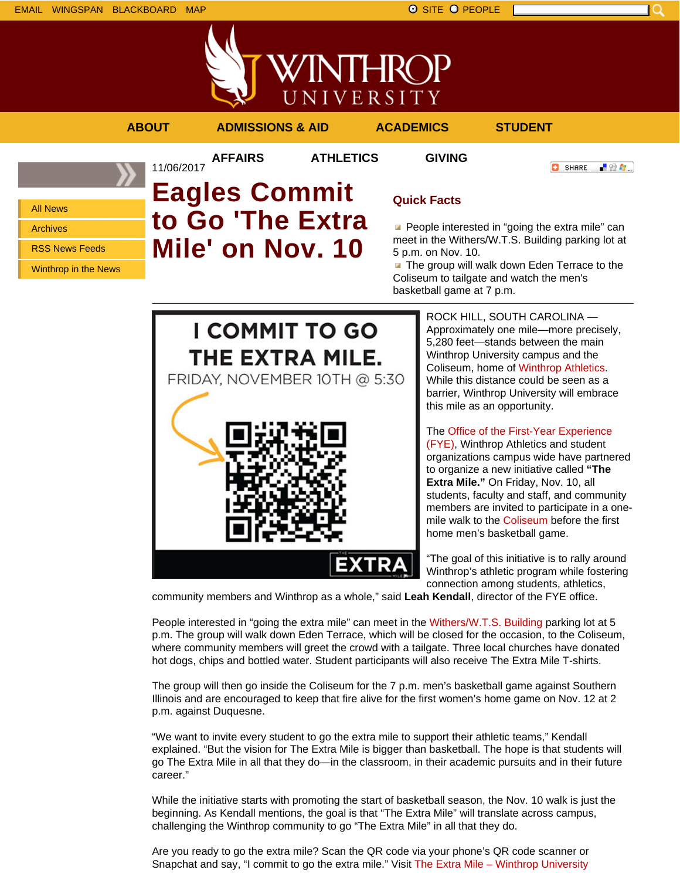All News Archives

RSS News Feeds

Winthrop in the News

- 89 年 -



(FYE), Winthrop Athletics and student organizations campus wide have partnered to organize a new initiative called **"The Extra Mile."** On Friday, Nov. 10, all students, faculty and staff, and community members are invited to participate in a onemile walk to the Coliseum before the first home men's basketball game.

"The goal of this initiative is to rally around Winthrop's athletic program while fostering connection among students, athletics,

community members and Winthrop as a whole," said **Leah Kendall**, director of the FYE office.

People interested in "going the extra mile" can meet in the Withers/W.T.S. Building parking lot at 5 p.m. The group will walk down Eden Terrace, which will be closed for the occasion, to the Coliseum, where community members will greet the crowd with a tailgate. Three local churches have donated hot dogs, chips and bottled water. Student participants will also receive The Extra Mile T-shirts.

The group will then go inside the Coliseum for the 7 p.m. men's basketball game against Southern Illinois and are encouraged to keep that fire alive for the first women's home game on Nov. 12 at 2 p.m. against Duquesne.

"We want to invite every student to go the extra mile to support their athletic teams," Kendall explained. "But the vision for The Extra Mile is bigger than basketball. The hope is that students will go The Extra Mile in all that they do—in the classroom, in their academic pursuits and in their future career."

While the initiative starts with promoting the start of basketball season, the Nov. 10 walk is just the beginning. As Kendall mentions, the goal is that "The Extra Mile" will translate across campus, challenging the Winthrop community to go "The Extra Mile" in all that they do.

Are you ready to go the extra mile? Scan the QR code via your phone's QR code scanner or Snapchat and say, "I commit to go the extra mile." Visit The Extra Mile – Winthrop University